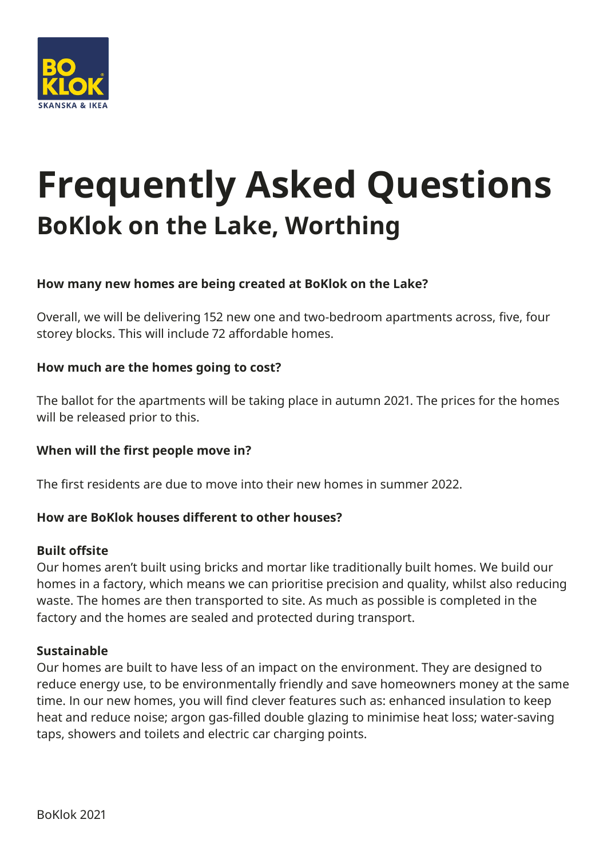

# **Frequently Asked Questions BoKlok on the Lake, Worthing**

## **How many new homes are being created at BoKlok on the Lake?**

Overall, we will be delivering 152 new one and two-bedroom apartments across, five, four storey blocks. This will include 72 affordable homes.

### **How much are the homes going to cost?**

The ballot for the apartments will be taking place in autumn 2021. The prices for the homes will be released prior to this.

## **When will the first people move in?**

The first residents are due to move into their new homes in summer 2022.

#### **How are BoKlok houses different to other houses?**

#### **Built offsite**

Our homes aren't built using bricks and mortar like traditionally built homes. We build our homes in a factory, which means we can prioritise precision and quality, whilst also reducing waste. The homes are then transported to site. As much as possible is completed in the factory and the homes are sealed and protected during transport.

#### **Sustainable**

Our homes are built to have less of an impact on the environment. They are designed to reduce energy use, to be environmentally friendly and save homeowners money at the same time. In our new homes, you will find clever features such as: enhanced insulation to keep heat and reduce noise; argon gas-filled double glazing to minimise heat loss; water-saving taps, showers and toilets and electric car charging points.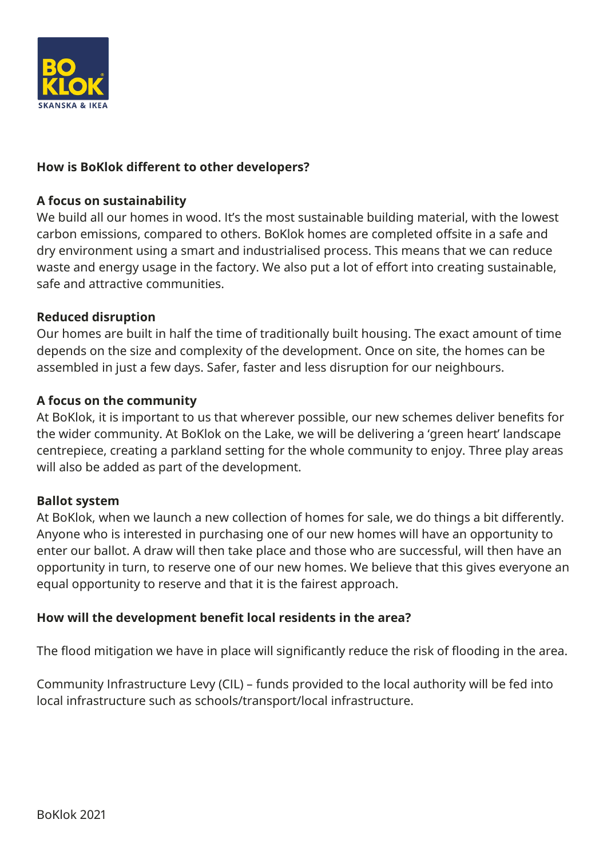

## **How is BoKlok different to other developers?**

#### **A focus on sustainability**

We build all our homes in wood. It's the most sustainable building material, with the lowest carbon emissions, compared to others. BoKlok homes are completed offsite in a safe and dry environment using a smart and industrialised process. This means that we can reduce waste and energy usage in the factory. We also put a lot of effort into creating sustainable, safe and attractive communities.

#### **Reduced disruption**

Our homes are built in half the time of traditionally built housing. The exact amount of time depends on the size and complexity of the development. Once on site, the homes can be assembled in just a few days. Safer, faster and less disruption for our neighbours.

#### **A focus on the community**

At BoKlok, it is important to us that wherever possible, our new schemes deliver benefits for the wider community. At BoKlok on the Lake, we will be delivering a 'green heart' landscape centrepiece, creating a parkland setting for the whole community to enjoy. Three play areas will also be added as part of the development.

#### **Ballot system**

At BoKlok, when we launch a new collection of homes for sale, we do things a bit differently. Anyone who is interested in purchasing one of our new homes will have an opportunity to enter our ballot. A draw will then take place and those who are successful, will then have an opportunity in turn, to reserve one of our new homes. We believe that this gives everyone an equal opportunity to reserve and that it is the fairest approach.

#### **How will the development benefit local residents in the area?**

The flood mitigation we have in place will significantly reduce the risk of flooding in the area.

Community Infrastructure Levy (CIL) – funds provided to the local authority will be fed into local infrastructure such as schools/transport/local infrastructure.